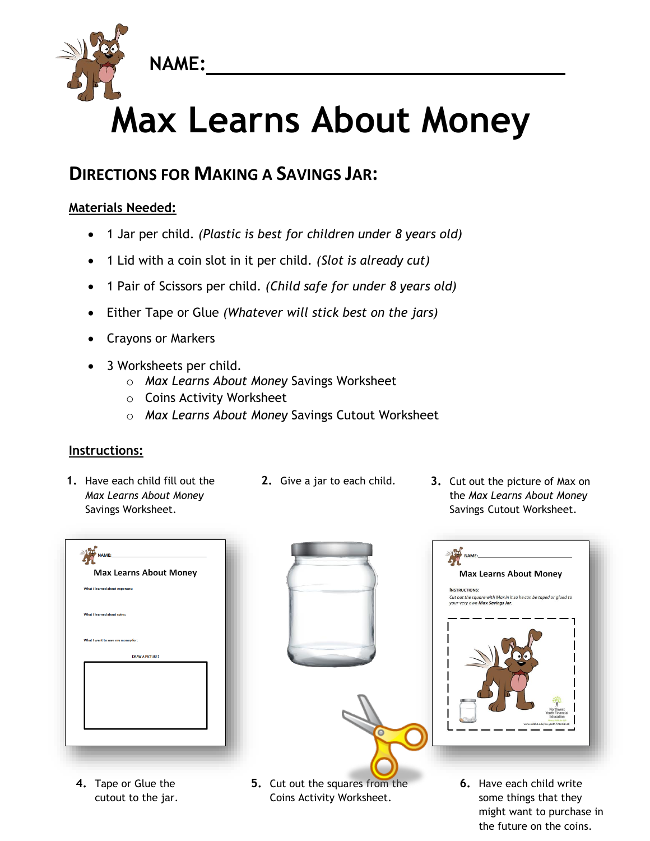

## **Max Learns About Money**

## **DIRECTIONS FOR MAKING A SAVINGS JAR:**

## **Materials Needed:**

- 1 Jar per child. *(Plastic is best for children under 8 years old)*
- 1 Lid with a coin slot in it per child. *(Slot is already cut)*
- 1 Pair of Scissors per child. *(Child safe for under 8 years old)*
- Either Tape or Glue *(Whatever will stick best on the jars)*
- Crayons or Markers
- 3 Worksheets per child.
	- o *Max Learns About Money* Savings Worksheet
	- o Coins Activity Worksheet
	- o *Max Learns About Money* Savings Cutout Worksheet

## **Instructions:**

- **1.** Have each child fill out the *Max Learns About Money* Savings Worksheet.
- 
- **2.** Give a jar to each child. **3.** Cut out the picture of Max on the *Max Learns About Money* Savings Cutout Worksheet.

|                                   | <b>Max Learns About Money</b> |  |  |
|-----------------------------------|-------------------------------|--|--|
| What I learned about expenses:    |                               |  |  |
|                                   |                               |  |  |
| What I learned about coins:       |                               |  |  |
|                                   |                               |  |  |
| What I want to save my money for: |                               |  |  |
|                                   | <b>DRAW A PICTURE!</b>        |  |  |
|                                   |                               |  |  |
|                                   |                               |  |  |
|                                   |                               |  |  |
|                                   |                               |  |  |
|                                   |                               |  |  |

**4.** Tape or Glue the cutout to the jar.



- **5.** Cut out the squares from the Coins Activity Worksheet.
- NAME: **Max Learns About Money INSTRUCTIONS:** Cut out the square with Max in it so he can be taped or glued to<br>your very own **Max Savings Jar**.
	- **6.** Have each child write some things that they might want to purchase in the future on the coins.